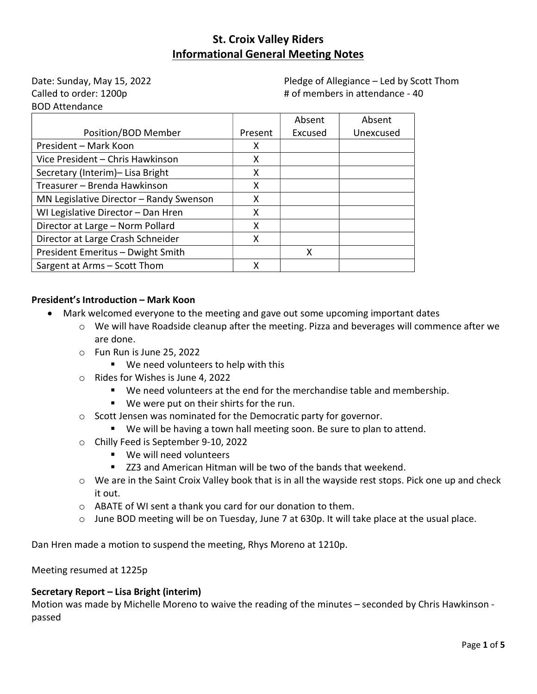Date: Sunday, May 15, 2022 Called to order: 1200p BOD Attendance

Pledge of Allegiance – Led by Scott Thom # of members in attendance - 40

|                                         |         | Absent  | Absent    |
|-----------------------------------------|---------|---------|-----------|
| Position/BOD Member                     | Present | Excused | Unexcused |
| President - Mark Koon                   | X       |         |           |
| Vice President - Chris Hawkinson        | X       |         |           |
| Secretary (Interim)- Lisa Bright        | X       |         |           |
| Treasurer - Brenda Hawkinson            | X       |         |           |
| MN Legislative Director - Randy Swenson | X       |         |           |
| WI Legislative Director - Dan Hren      | X       |         |           |
| Director at Large - Norm Pollard        | X       |         |           |
| Director at Large Crash Schneider       | X       |         |           |
| President Emeritus - Dwight Smith       |         | x       |           |
| Sargent at Arms - Scott Thom            | x       |         |           |

## President's Introduction – Mark Koon

- Mark welcomed everyone to the meeting and gave out some upcoming important dates
	- o We will have Roadside cleanup after the meeting. Pizza and beverages will commence after we are done.
	- o Fun Run is June 25, 2022
		- We need volunteers to help with this
	- o Rides for Wishes is June 4, 2022
		- We need volunteers at the end for the merchandise table and membership.
		- We were put on their shirts for the run.
	- o Scott Jensen was nominated for the Democratic party for governor.
		- We will be having a town hall meeting soon. Be sure to plan to attend.
	- o Chilly Feed is September 9-10, 2022
		- We will need volunteers
		- ZZ3 and American Hitman will be two of the bands that weekend.
	- $\circ$  We are in the Saint Croix Valley book that is in all the wayside rest stops. Pick one up and check it out.
	- o ABATE of WI sent a thank you card for our donation to them.
	- $\circ$  June BOD meeting will be on Tuesday, June 7 at 630p. It will take place at the usual place.

Dan Hren made a motion to suspend the meeting, Rhys Moreno at 1210p.

Meeting resumed at 1225p

#### Secretary Report – Lisa Bright (interim)

Motion was made by Michelle Moreno to waive the reading of the minutes – seconded by Chris Hawkinson passed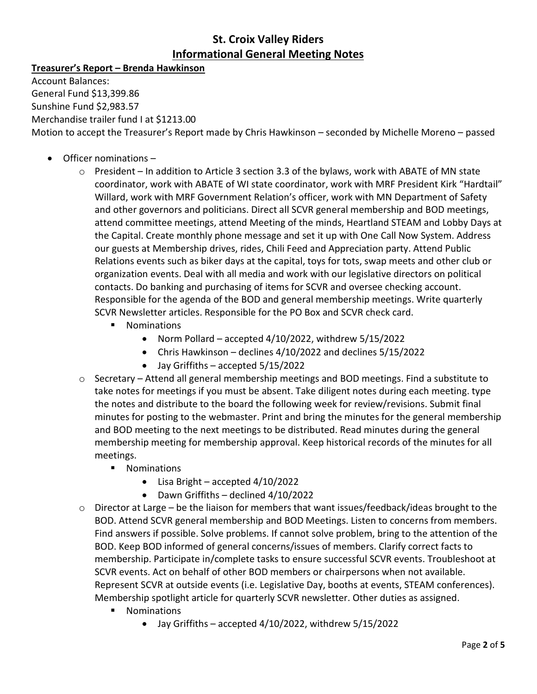# Treasurer's Report – Brenda Hawkinson

Account Balances: General Fund \$13,399.86 Sunshine Fund \$2,983.57 Merchandise trailer fund I at \$1213.00 Motion to accept the Treasurer's Report made by Chris Hawkinson – seconded by Michelle Moreno – passed

- Officer nominations
	- $\circ$  President In addition to Article 3 section 3.3 of the bylaws, work with ABATE of MN state coordinator, work with ABATE of WI state coordinator, work with MRF President Kirk "Hardtail" Willard, work with MRF Government Relation's officer, work with MN Department of Safety and other governors and politicians. Direct all SCVR general membership and BOD meetings, attend committee meetings, attend Meeting of the minds, Heartland STEAM and Lobby Days at the Capital. Create monthly phone message and set it up with One Call Now System. Address our guests at Membership drives, rides, Chili Feed and Appreciation party. Attend Public Relations events such as biker days at the capital, toys for tots, swap meets and other club or organization events. Deal with all media and work with our legislative directors on political contacts. Do banking and purchasing of items for SCVR and oversee checking account. Responsible for the agenda of the BOD and general membership meetings. Write quarterly SCVR Newsletter articles. Responsible for the PO Box and SCVR check card.
		- **Nominations** 
			- Norm Pollard accepted  $4/10/2022$ , withdrew  $5/15/2022$
			- Chris Hawkinson declines 4/10/2022 and declines 5/15/2022
			- Jay Griffiths accepted 5/15/2022
	- $\circ$  Secretary Attend all general membership meetings and BOD meetings. Find a substitute to take notes for meetings if you must be absent. Take diligent notes during each meeting. type the notes and distribute to the board the following week for review/revisions. Submit final minutes for posting to the webmaster. Print and bring the minutes for the general membership and BOD meeting to the next meetings to be distributed. Read minutes during the general membership meeting for membership approval. Keep historical records of the minutes for all meetings.
		- **Nominations** 
			- Lisa Bright accepted 4/10/2022
			- Dawn Griffiths declined 4/10/2022
	- $\circ$  Director at Large be the liaison for members that want issues/feedback/ideas brought to the BOD. Attend SCVR general membership and BOD Meetings. Listen to concerns from members. Find answers if possible. Solve problems. If cannot solve problem, bring to the attention of the BOD. Keep BOD informed of general concerns/issues of members. Clarify correct facts to membership. Participate in/complete tasks to ensure successful SCVR events. Troubleshoot at SCVR events. Act on behalf of other BOD members or chairpersons when not available. Represent SCVR at outside events (i.e. Legislative Day, booths at events, STEAM conferences). Membership spotlight article for quarterly SCVR newsletter. Other duties as assigned.
		- **Nominations** 
			- Jay Griffiths accepted 4/10/2022, withdrew 5/15/2022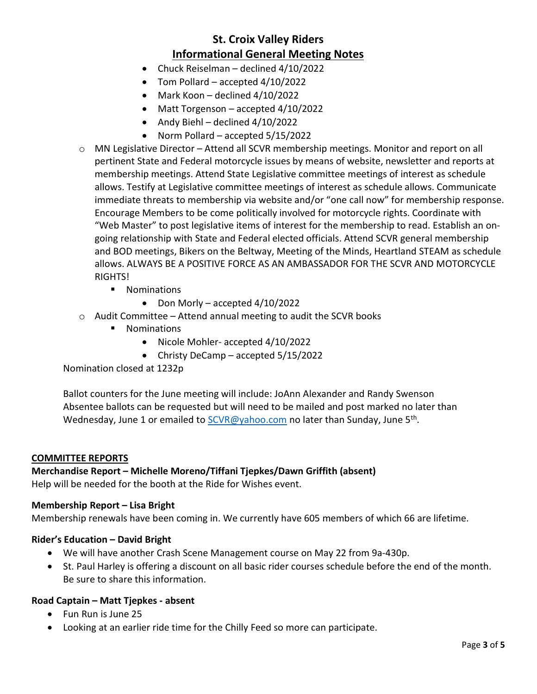- Chuck Reiselman declined 4/10/2022
- Tom Pollard accepted 4/10/2022
- $\bullet$  Mark Koon declined 4/10/2022
- Matt Torgenson accepted 4/10/2022
- Andy Biehl declined  $4/10/2022$
- Norm Pollard accepted 5/15/2022
- o MN Legislative Director Attend all SCVR membership meetings. Monitor and report on all pertinent State and Federal motorcycle issues by means of website, newsletter and reports at membership meetings. Attend State Legislative committee meetings of interest as schedule allows. Testify at Legislative committee meetings of interest as schedule allows. Communicate immediate threats to membership via website and/or "one call now" for membership response. Encourage Members to be come politically involved for motorcycle rights. Coordinate with "Web Master" to post legislative items of interest for the membership to read. Establish an ongoing relationship with State and Federal elected officials. Attend SCVR general membership and BOD meetings, Bikers on the Beltway, Meeting of the Minds, Heartland STEAM as schedule allows. ALWAYS BE A POSITIVE FORCE AS AN AMBASSADOR FOR THE SCVR AND MOTORCYCLE **RIGHTS!** 
	- **Nominations** 
		- $\bullet$  Don Morly accepted 4/10/2022
- $\circ$  Audit Committee Attend annual meeting to audit the SCVR books
	- **Nominations** 
		- Nicole Mohler- accepted 4/10/2022
		- Christy DeCamp accepted  $5/15/2022$

Nomination closed at 1232p

Ballot counters for the June meeting will include: JoAnn Alexander and Randy Swenson Absentee ballots can be requested but will need to be mailed and post marked no later than Wednesday, June 1 or emailed to SCVR@yahoo.com no later than Sunday, June 5<sup>th</sup>.

#### COMMITTEE REPORTS

Merchandise Report – Michelle Moreno/Tiffani Tjepkes/Dawn Griffith (absent) Help will be needed for the booth at the Ride for Wishes event.

#### Membership Report – Lisa Bright

Membership renewals have been coming in. We currently have 605 members of which 66 are lifetime.

#### Rider's Education – David Bright

- We will have another Crash Scene Management course on May 22 from 9a-430p.
- St. Paul Harley is offering a discount on all basic rider courses schedule before the end of the month. Be sure to share this information.

#### Road Captain – Matt Tjepkes - absent

- Fun Run is June 25
- Looking at an earlier ride time for the Chilly Feed so more can participate.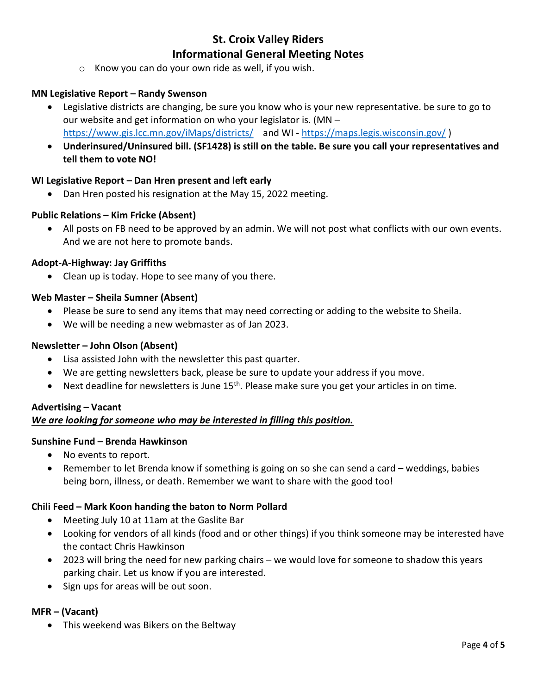o Know you can do your own ride as well, if you wish.

## MN Legislative Report – Randy Swenson

- Legislative districts are changing, be sure you know who is your new representative. be sure to go to our website and get information on who your legislator is. (MN – https://www.gis.lcc.mn.gov/iMaps/districts/ and WI - https://maps.legis.wisconsin.gov/ )
- Underinsured/Uninsured bill. (SF1428) is still on the table. Be sure you call your representatives and tell them to vote NO!

### WI Legislative Report – Dan Hren present and left early

Dan Hren posted his resignation at the May 15, 2022 meeting.

#### Public Relations – Kim Fricke (Absent)

 All posts on FB need to be approved by an admin. We will not post what conflicts with our own events. And we are not here to promote bands.

#### Adopt-A-Highway: Jay Griffiths

Clean up is today. Hope to see many of you there.

#### Web Master – Sheila Sumner (Absent)

- Please be sure to send any items that may need correcting or adding to the website to Sheila.
- We will be needing a new webmaster as of Jan 2023.

## Newsletter – John Olson (Absent)

- Lisa assisted John with the newsletter this past quarter.
- We are getting newsletters back, please be sure to update your address if you move.
- $\bullet$  Next deadline for newsletters is June 15<sup>th</sup>. Please make sure you get your articles in on time.

#### Advertising – Vacant

#### We are looking for someone who may be interested in filling this position.

#### Sunshine Fund – Brenda Hawkinson

- No events to report.
- Remember to let Brenda know if something is going on so she can send a card weddings, babies being born, illness, or death. Remember we want to share with the good too!

#### Chili Feed – Mark Koon handing the baton to Norm Pollard

- Meeting July 10 at 11am at the Gaslite Bar
- Looking for vendors of all kinds (food and or other things) if you think someone may be interested have the contact Chris Hawkinson
- 2023 will bring the need for new parking chairs we would love for someone to shadow this years parking chair. Let us know if you are interested.
- Sign ups for areas will be out soon.

### MFR – (Vacant)

This weekend was Bikers on the Beltway